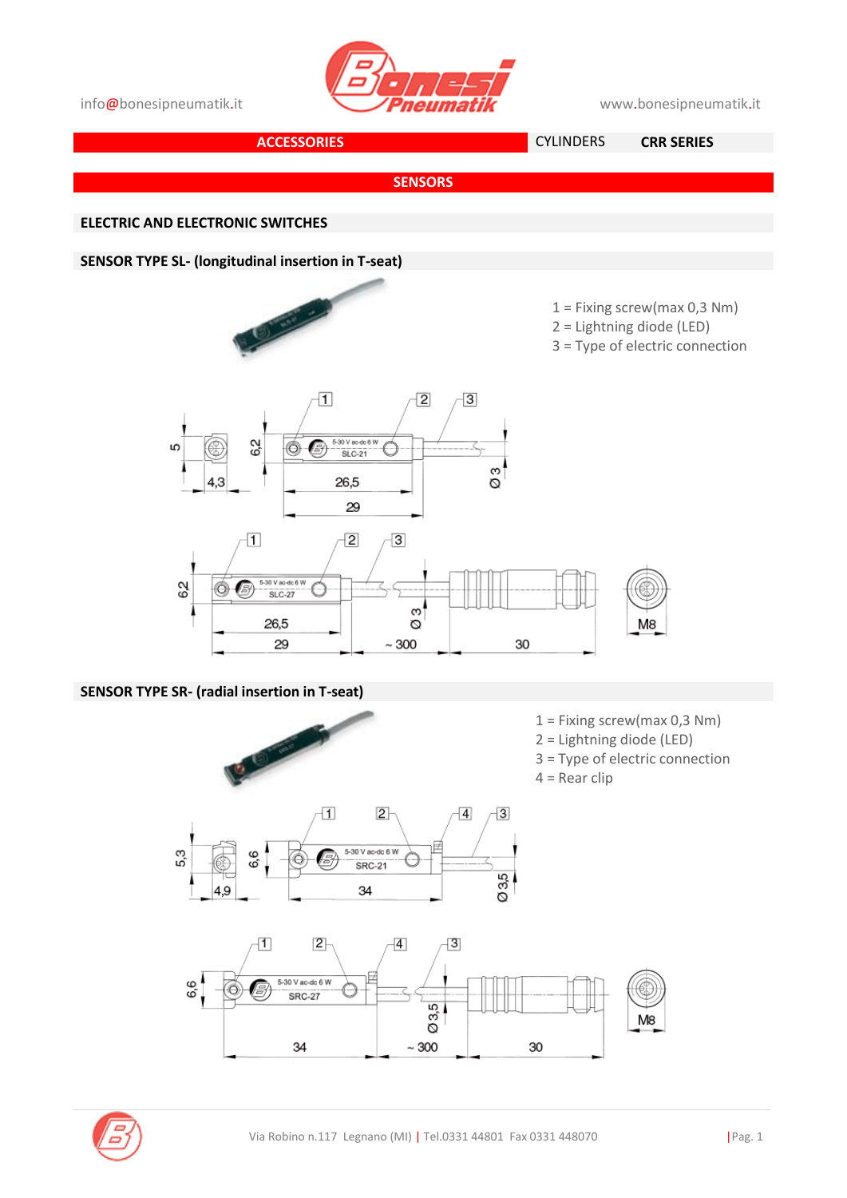





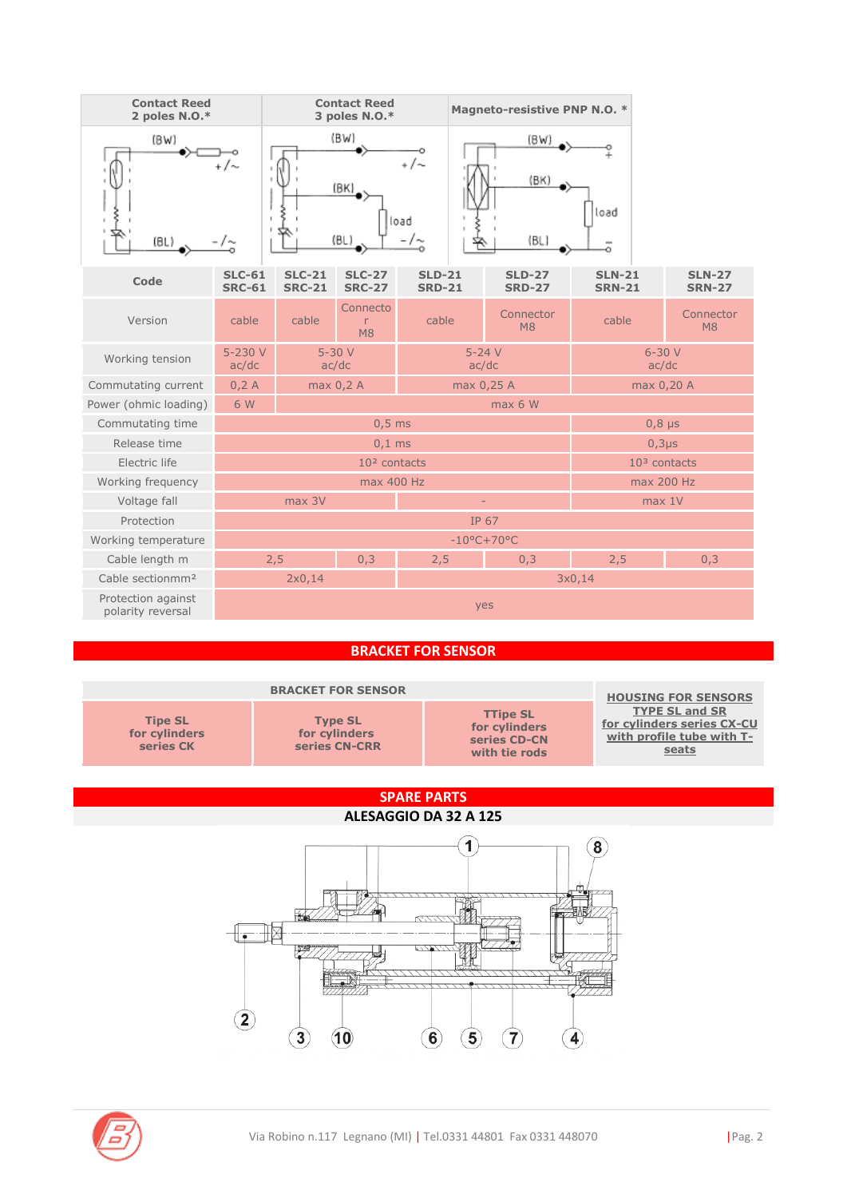

## **BRACKET FOR SENSOR**

|                                              | <b>HOUSING FOR SENSORS</b>                       |                                                                   |                                                                                           |  |  |
|----------------------------------------------|--------------------------------------------------|-------------------------------------------------------------------|-------------------------------------------------------------------------------------------|--|--|
| <b>Tipe SL</b><br>for cylinders<br>series CK | <b>Type SL</b><br>for cylinders<br>series CN-CRR | <b>TTipe SL</b><br>for cylinders<br>series CD-CN<br>with tie rods | <b>TYPE SL and SR</b><br>for cylinders series CX-CU<br>with profile tube with T-<br>seats |  |  |
|                                              |                                                  |                                                                   |                                                                                           |  |  |

## **SPARE PARTS**

## **ALESAGGIO DA 32 A 125**